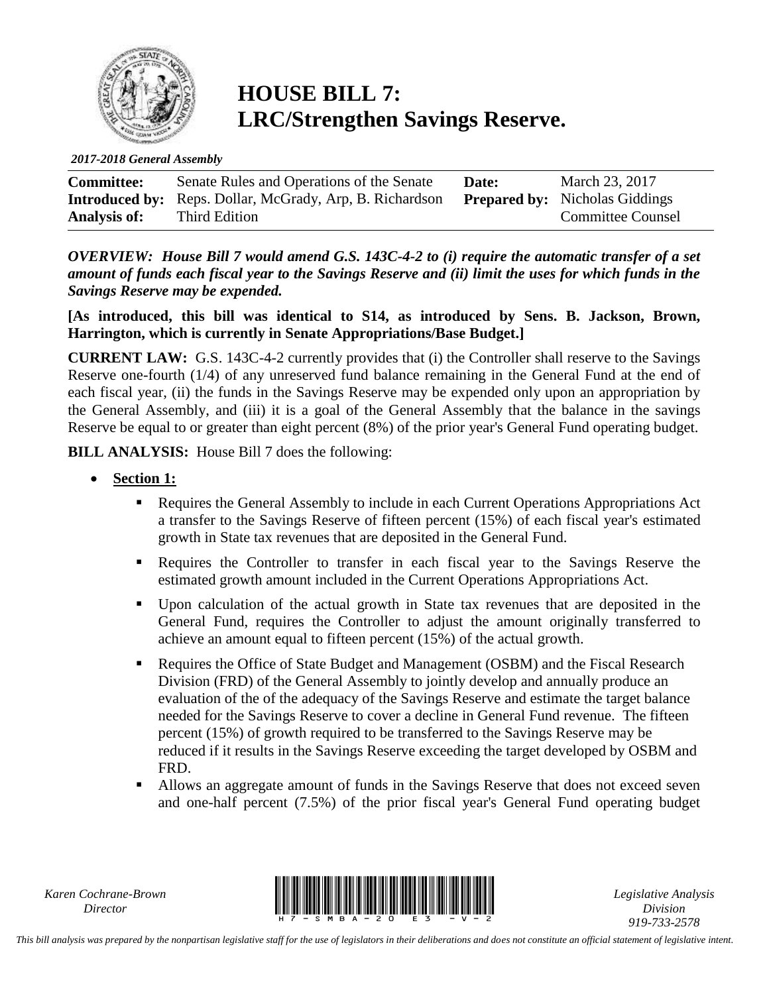

## **HOUSE BILL 7: LRC/Strengthen Savings Reserve.**

*2017-2018 General Assembly*

| <b>Committee:</b>   | Senate Rules and Operations of the Senate                       | Date: | March 23, 2017                        |
|---------------------|-----------------------------------------------------------------|-------|---------------------------------------|
|                     | <b>Introduced by:</b> Reps. Dollar, McGrady, Arp, B. Richardson |       | <b>Prepared by:</b> Nicholas Giddings |
| <b>Analysis of:</b> | Third Edition                                                   |       | <b>Committee Counsel</b>              |

*OVERVIEW: House Bill 7 would amend G.S. 143C-4-2 to (i) require the automatic transfer of a set amount of funds each fiscal year to the Savings Reserve and (ii) limit the uses for which funds in the Savings Reserve may be expended.* 

**[As introduced, this bill was identical to S14, as introduced by Sens. B. Jackson, Brown, Harrington, which is currently in Senate Appropriations/Base Budget.]**

**CURRENT LAW:** G.S. 143C-4-2 currently provides that (i) the Controller shall reserve to the Savings Reserve one-fourth (1/4) of any unreserved fund balance remaining in the General Fund at the end of each fiscal year, (ii) the funds in the Savings Reserve may be expended only upon an appropriation by the General Assembly, and (iii) it is a goal of the General Assembly that the balance in the savings Reserve be equal to or greater than eight percent (8%) of the prior year's General Fund operating budget.

**BILL ANALYSIS:** House Bill 7 does the following:

- **Section 1:**
	- Requires the General Assembly to include in each Current Operations Appropriations Act a transfer to the Savings Reserve of fifteen percent (15%) of each fiscal year's estimated growth in State tax revenues that are deposited in the General Fund.
	- Requires the Controller to transfer in each fiscal year to the Savings Reserve the estimated growth amount included in the Current Operations Appropriations Act.
	- Upon calculation of the actual growth in State tax revenues that are deposited in the General Fund, requires the Controller to adjust the amount originally transferred to achieve an amount equal to fifteen percent (15%) of the actual growth.
	- Requires the Office of State Budget and Management (OSBM) and the Fiscal Research Division (FRD) of the General Assembly to jointly develop and annually produce an evaluation of the of the adequacy of the Savings Reserve and estimate the target balance needed for the Savings Reserve to cover a decline in General Fund revenue. The fifteen percent (15%) of growth required to be transferred to the Savings Reserve may be reduced if it results in the Savings Reserve exceeding the target developed by OSBM and FRD.
	- Allows an aggregate amount of funds in the Savings Reserve that does not exceed seven and one-half percent (7.5%) of the prior fiscal year's General Fund operating budget

*Karen Cochrane-Brown*



*Legislative Analysis Division 919-733-2578*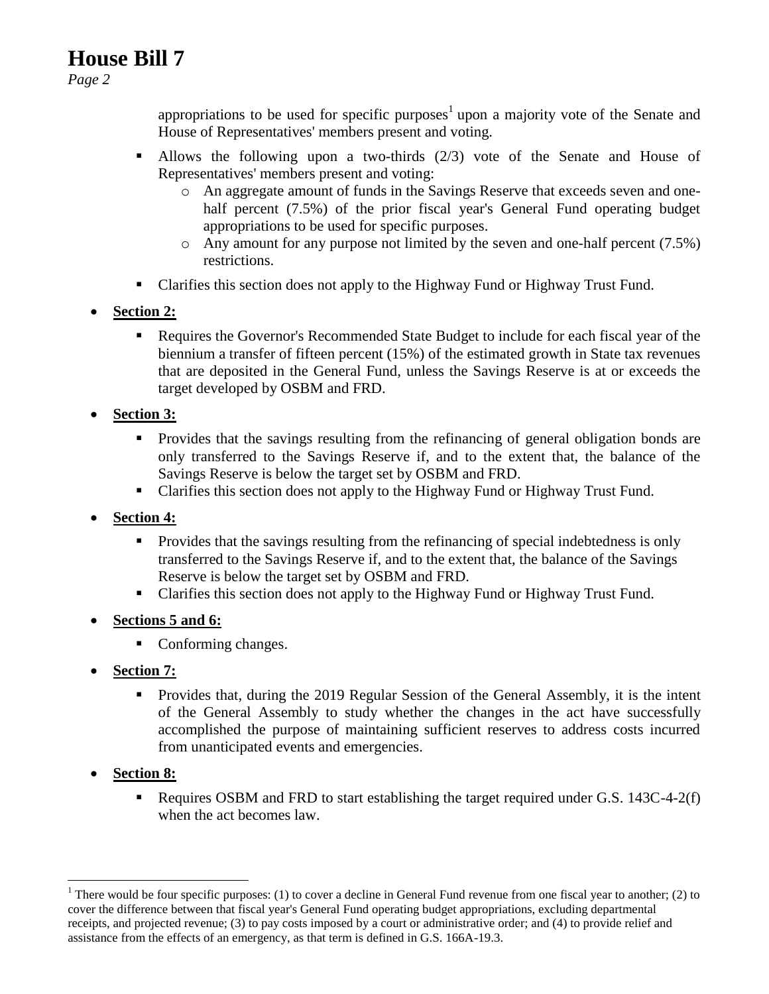## **House Bill 7**

*Page 2*

appropriations to be used for specific purposes<sup>1</sup> upon a majority vote of the Senate and House of Representatives' members present and voting.

- Allows the following upon a two-thirds (2/3) vote of the Senate and House of Representatives' members present and voting:
	- o An aggregate amount of funds in the Savings Reserve that exceeds seven and onehalf percent (7.5%) of the prior fiscal year's General Fund operating budget appropriations to be used for specific purposes.
	- o Any amount for any purpose not limited by the seven and one-half percent (7.5%) restrictions.
- Clarifies this section does not apply to the Highway Fund or Highway Trust Fund.
- **Section 2:**
	- Requires the Governor's Recommended State Budget to include for each fiscal year of the biennium a transfer of fifteen percent (15%) of the estimated growth in State tax revenues that are deposited in the General Fund, unless the Savings Reserve is at or exceeds the target developed by OSBM and FRD.
- **Section 3:**
	- Provides that the savings resulting from the refinancing of general obligation bonds are only transferred to the Savings Reserve if, and to the extent that, the balance of the Savings Reserve is below the target set by OSBM and FRD.
	- Clarifies this section does not apply to the Highway Fund or Highway Trust Fund.
- **Section 4:**
	- **Provides that the savings resulting from the refinancing of special indebtedness is only** transferred to the Savings Reserve if, and to the extent that, the balance of the Savings Reserve is below the target set by OSBM and FRD.
	- Clarifies this section does not apply to the Highway Fund or Highway Trust Fund.
- **Sections 5 and 6:**
	- Conforming changes.
- **Section 7:** 
	- Provides that, during the 2019 Regular Session of the General Assembly, it is the intent of the General Assembly to study whether the changes in the act have successfully accomplished the purpose of maintaining sufficient reserves to address costs incurred from unanticipated events and emergencies.
- **Section 8:**

 $\overline{a}$ 

Requires OSBM and FRD to start establishing the target required under G.S. 143C-4-2(f) when the act becomes law.

<sup>&</sup>lt;sup>1</sup> There would be four specific purposes: (1) to cover a decline in General Fund revenue from one fiscal year to another; (2) to cover the difference between that fiscal year's General Fund operating budget appropriations, excluding departmental receipts, and projected revenue; (3) to pay costs imposed by a court or administrative order; and (4) to provide relief and assistance from the effects of an emergency, as that term is defined in G.S. 166A-19.3.